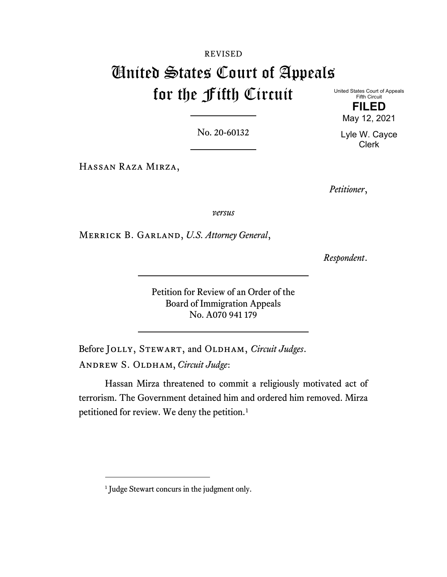# REVISED United States Court of Appeals for the Fifth Circuit

United States Court of Appeals Fifth Circuit **FILED**

May 12, 2021

Lyle W. Cayce Clerk

No. 20-60132

Hassan Raza Mirza,

*Petitioner*,

*versus*

Merrick B. Garland, *U.S. Attorney General*,

*Respondent*.

Petition for Review of an Order of the Board of Immigration Appeals No. A070 941 179

Before JOLLY, STEWART, and OLDHAM, *Circuit Judges*. Andrew S. Oldham, *Circuit Judge*:

Hassan Mirza threatened to commit a religiously motivated act of terrorism. The Government detained him and ordered him removed. Mirza petitioned for review. We deny the petition. [1](#page-0-0)

<span id="page-0-0"></span><sup>&</sup>lt;sup>1</sup> Judge Stewart concurs in the judgment only.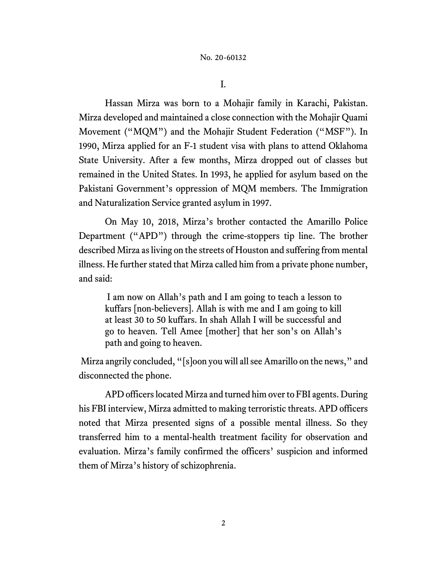I.

Hassan Mirza was born to a Mohajir family in Karachi, Pakistan. Mirza developed and maintained a close connection with the Mohajir Quami Movement ("MQM") and the Mohajir Student Federation ("MSF"). In 1990, Mirza applied for an F-1 student visa with plans to attend Oklahoma State University. After a few months, Mirza dropped out of classes but remained in the United States. In 1993, he applied for asylum based on the Pakistani Government's oppression of MQM members. The Immigration and Naturalization Service granted asylum in 1997.

On May 10, 2018, Mirza's brother contacted the Amarillo Police Department ("APD") through the crime-stoppers tip line. The brother described Mirza as living on the streets of Houston and suffering from mental illness. He further stated that Mirza called him from a private phone number, and said:

I am now on Allah's path and I am going to teach a lesson to kuffars [non-believers]. Allah is with me and I am going to kill at least 30 to 50 kuffars. In shah Allah I will be successful and go to heaven. Tell Amee [mother] that her son's on Allah's path and going to heaven.

Mirza angrily concluded, "[s]oon you will all see Amarillo on the news," and disconnected the phone.

APD officers located Mirza and turned him over to FBI agents. During his FBI interview, Mirza admitted to making terroristic threats. APD officers noted that Mirza presented signs of a possible mental illness. So they transferred him to a mental-health treatment facility for observation and evaluation. Mirza's family confirmed the officers' suspicion and informed them of Mirza's history of schizophrenia.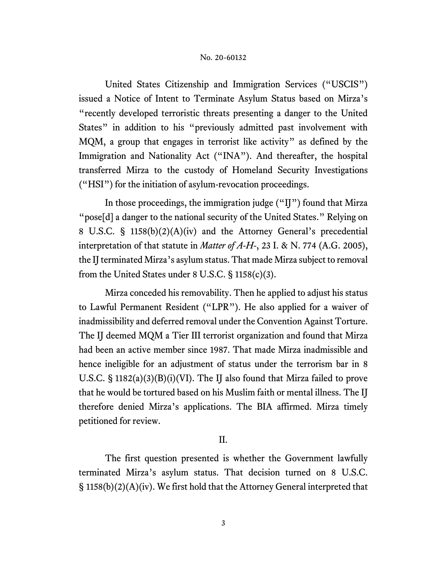United States Citizenship and Immigration Services ("USCIS") issued a Notice of Intent to Terminate Asylum Status based on Mirza's "recently developed terroristic threats presenting a danger to the United States" in addition to his "previously admitted past involvement with MQM, a group that engages in terrorist like activity" as defined by the Immigration and Nationality Act ("INA"). And thereafter, the hospital transferred Mirza to the custody of Homeland Security Investigations ("HSI") for the initiation of asylum-revocation proceedings.

In those proceedings, the immigration judge ("IJ") found that Mirza "pose[d] a danger to the national security of the United States." Relying on 8 U.S.C. § 1158(b)(2)(A)(iv) and the Attorney General's precedential interpretation of that statute in *Matter of A-H-*, 23 I. & N. 774 (A.G. 2005), the IJ terminated Mirza's asylum status. That made Mirza subject to removal from the United States under 8 U.S.C. § 1158(c)(3).

Mirza conceded his removability. Then he applied to adjust his status to Lawful Permanent Resident ("LPR"). He also applied for a waiver of inadmissibility and deferred removal under the Convention Against Torture. The IJ deemed MQM a Tier III terrorist organization and found that Mirza had been an active member since 1987. That made Mirza inadmissible and hence ineligible for an adjustment of status under the terrorism bar in 8 U.S.C. § 1182(a)(3)(B)(i)(VI). The IJ also found that Mirza failed to prove that he would be tortured based on his Muslim faith or mental illness. The IJ therefore denied Mirza's applications. The BIA affirmed. Mirza timely petitioned for review.

## II.

The first question presented is whether the Government lawfully terminated Mirza's asylum status. That decision turned on 8 U.S.C. § 1158(b)(2)(A)(iv). We first hold that the Attorney General interpreted that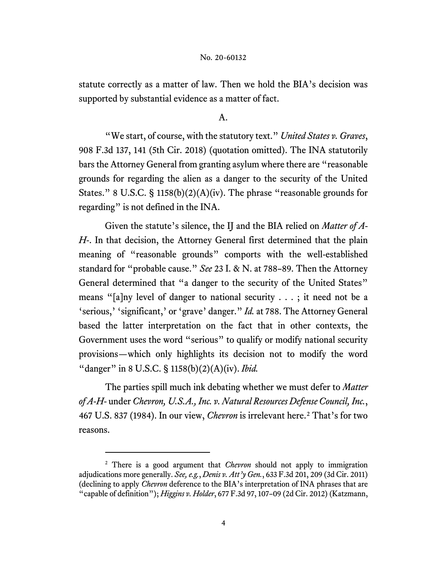statute correctly as a matter of law. Then we hold the BIA's decision was supported by substantial evidence as a matter of fact.

### A.

"We start, of course, with the statutory text." *United States v. Graves*, 908 F.3d 137, 141 (5th Cir. 2018) (quotation omitted). The INA statutorily bars the Attorney General from granting asylum where there are "reasonable grounds for regarding the alien as a danger to the security of the United States." 8 U.S.C. § 1158(b)(2)(A)(iv). The phrase "reasonable grounds for regarding" is not defined in the INA.

Given the statute's silence, the IJ and the BIA relied on *Matter of A-H-*. In that decision, the Attorney General first determined that the plain meaning of "reasonable grounds" comports with the well-established standard for "probable cause." *See* 23 I. & N. at 788–89. Then the Attorney General determined that "a danger to the security of the United States" means "[a]ny level of danger to national security . . . ; it need not be a 'serious,' 'significant,' or 'grave' danger." *Id.* at 788. The Attorney General based the latter interpretation on the fact that in other contexts, the Government uses the word "serious" to qualify or modify national security provisions—which only highlights its decision not to modify the word "danger" in 8 U.S.C. § 1158(b)(2)(A)(iv). *Ibid.*

The parties spill much ink debating whether we must defer to *Matter of A-H-* under *Chevron, U.S.A., Inc. v. Natural Resources Defense Council, Inc.*, 467 U.S. 837 (1984). In our view, *Chevron* is irrelevant here.[2](#page-3-0) That's for two reasons.

<span id="page-3-0"></span><sup>2</sup> There is a good argument that *Chevron* should not apply to immigration adjudications more generally. *See, e.g.*, *Denis v. Att'y Gen.*, 633 F.3d 201, 209 (3d Cir. 2011) (declining to apply *Chevron* deference to the BIA's interpretation of INA phrases that are "capable of definition"); *Higgins v. Holder*, 677 F.3d 97, 107–09 (2d Cir. 2012) (Katzmann,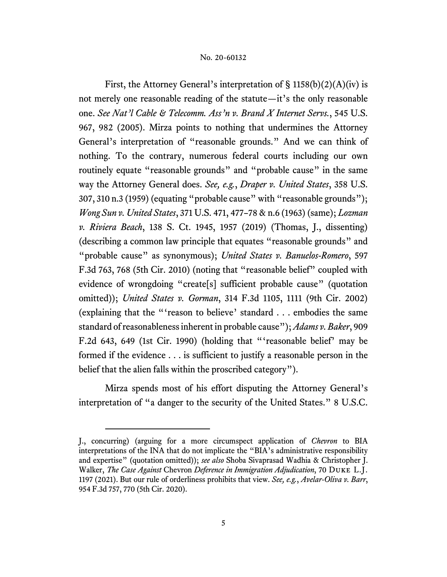First, the Attorney General's interpretation of  $\S$  1158(b)(2)(A)(iv) is not merely one reasonable reading of the statute—it's the only reasonable one. *See Nat'l Cable & Telecomm. Ass'n v. Brand X Internet Servs.*, 545 U.S. 967, 982 (2005). Mirza points to nothing that undermines the Attorney General's interpretation of "reasonable grounds." And we can think of nothing. To the contrary, numerous federal courts including our own routinely equate "reasonable grounds" and "probable cause" in the same way the Attorney General does. *See, e.g.*, *Draper v. United States*, 358 U.S. 307, 310 n.3 (1959) (equating "probable cause" with "reasonable grounds"); *Wong Sun v. United States*, 371 U.S. 471, 477–78 & n.6 (1963) (same); *Lozman v. Riviera Beach*, 138 S. Ct. 1945, 1957 (2019) (Thomas, J., dissenting) (describing a common law principle that equates "reasonable grounds" and "probable cause" as synonymous); *United States v. Banuelos-Romero*, 597 F.3d 763, 768 (5th Cir. 2010) (noting that "reasonable belief" coupled with evidence of wrongdoing "create[s] sufficient probable cause" (quotation omitted)); *United States v. Gorman*, 314 F.3d 1105, 1111 (9th Cir. 2002) (explaining that the "'reason to believe' standard . . . embodies the same standard of reasonableness inherent in probable cause"); *Adams v. Baker*, 909 F.2d 643, 649 (1st Cir. 1990) (holding that "'reasonable belief' may be formed if the evidence . . . is sufficient to justify a reasonable person in the belief that the alien falls within the proscribed category").

Mirza spends most of his effort disputing the Attorney General's interpretation of "a danger to the security of the United States." 8 U.S.C.

J., concurring) (arguing for a more circumspect application of *Chevron* to BIA interpretations of the INA that do not implicate the "BIA's administrative responsibility and expertise" (quotation omitted)); *see also* Shoba Sivaprasad Wadhia & Christopher J. Walker, *The Case Against* Chevron *Deference in Immigration Adjudication*, 70 Duke L.J. 1197 (2021). But our rule of orderliness prohibits that view. *See, e.g.*, *Avelar-Oliva v. Barr*, 954 F.3d 757, 770 (5th Cir. 2020).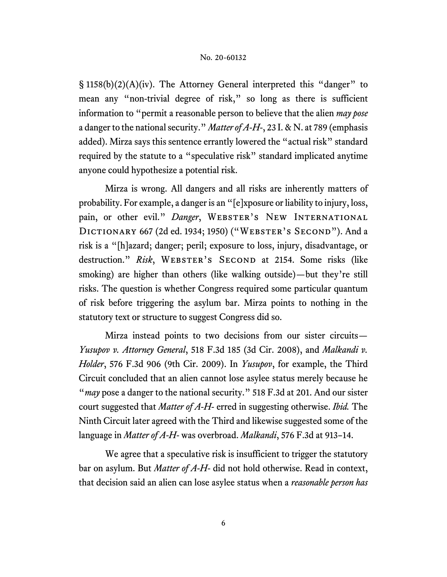§ 1158(b)(2)(A)(iv). The Attorney General interpreted this "danger" to mean any "non-trivial degree of risk," so long as there is sufficient information to "permit a reasonable person to believe that the alien *may pose* a danger to the national security." *Matter of A-H-*, 23 I. & N. at 789 (emphasis added). Mirza says this sentence errantly lowered the "actual risk" standard required by the statute to a "speculative risk" standard implicated anytime anyone could hypothesize a potential risk.

Mirza is wrong. All dangers and all risks are inherently matters of probability. For example, a danger is an "[e]xposure or liability to injury, loss, pain, or other evil." Danger, WEBSTER'S NEW INTERNATIONAL DICTIONARY 667 (2d ed. 1934; 1950) ("WEBSTER'S SECOND"). And a risk is a "[h]azard; danger; peril; exposure to loss, injury, disadvantage, or destruction." Risk, WEBSTER'S SECOND at 2154. Some risks (like smoking) are higher than others (like walking outside)—but they're still risks. The question is whether Congress required some particular quantum of risk before triggering the asylum bar. Mirza points to nothing in the statutory text or structure to suggest Congress did so.

Mirza instead points to two decisions from our sister circuits— *Yusupov v. Attorney General*, 518 F.3d 185 (3d Cir. 2008), and *Malkandi v. Holder*, 576 F.3d 906 (9th Cir. 2009). In *Yusupov*, for example, the Third Circuit concluded that an alien cannot lose asylee status merely because he "*may* pose a danger to the national security." 518 F.3d at 201. And our sister court suggested that *Matter of A-H-* erred in suggesting otherwise. *Ibid.* The Ninth Circuit later agreed with the Third and likewise suggested some of the language in *Matter of A-H-* was overbroad. *Malkandi*, 576 F.3d at 913–14.

We agree that a speculative risk is insufficient to trigger the statutory bar on asylum. But *Matter of A-H-* did not hold otherwise. Read in context, that decision said an alien can lose asylee status when a *reasonable person has*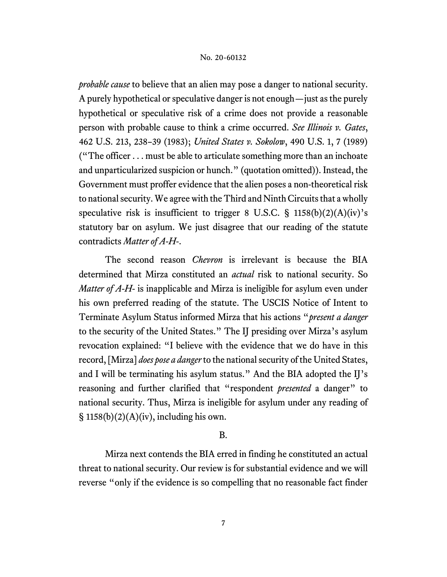*probable cause* to believe that an alien may pose a danger to national security. A purely hypothetical or speculative danger is not enough—just as the purely hypothetical or speculative risk of a crime does not provide a reasonable person with probable cause to think a crime occurred. *See Illinois v. Gates*, 462 U.S. 213, 238–39 (1983); *United States v. Sokolow*, 490 U.S. 1, 7 (1989) ("The officer . . . must be able to articulate something more than an inchoate and unparticularized suspicion or hunch." (quotation omitted)). Instead, the Government must proffer evidence that the alien poses a non-theoretical risk to national security. We agree with the Third and Ninth Circuits that a wholly speculative risk is insufficient to trigger 8 U.S.C. § 1158(b)(2)(A)(iv)'s statutory bar on asylum. We just disagree that our reading of the statute contradicts *Matter of A-H-*.

The second reason *Chevron* is irrelevant is because the BIA determined that Mirza constituted an *actual* risk to national security. So *Matter of A-H-* is inapplicable and Mirza is ineligible for asylum even under his own preferred reading of the statute. The USCIS Notice of Intent to Terminate Asylum Status informed Mirza that his actions "*present a danger* to the security of the United States." The IJ presiding over Mirza's asylum revocation explained: "I believe with the evidence that we do have in this record, [Mirza] *does pose a danger*to the national security of the United States, and I will be terminating his asylum status." And the BIA adopted the IJ's reasoning and further clarified that "respondent *presented* a danger" to national security. Thus, Mirza is ineligible for asylum under any reading of  $\S$  1158(b)(2)(A)(iv), including his own.

## B.

Mirza next contends the BIA erred in finding he constituted an actual threat to national security. Our review is for substantial evidence and we will reverse "only if the evidence is so compelling that no reasonable fact finder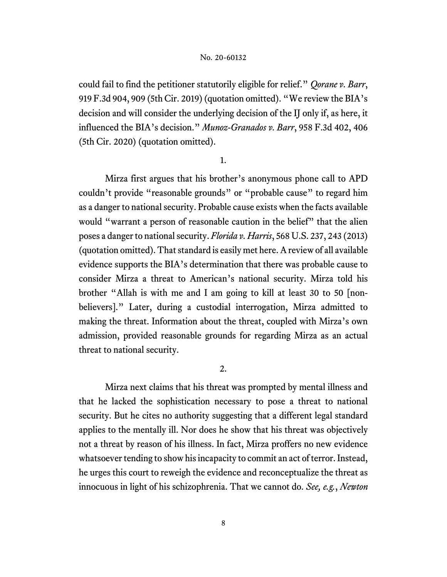could fail to find the petitioner statutorily eligible for relief." *Qorane v. Barr*, 919 F.3d 904, 909 (5th Cir. 2019) (quotation omitted). "We review the BIA's decision and will consider the underlying decision of the IJ only if, as here, it influenced the BIA's decision." *Munoz-Granados v. Barr*, 958 F.3d 402, 406 (5th Cir. 2020) (quotation omitted).

1.

Mirza first argues that his brother's anonymous phone call to APD couldn't provide "reasonable grounds" or "probable cause" to regard him as a danger to national security. Probable cause exists when the facts available would "warrant a person of reasonable caution in the belief" that the alien poses a danger to national security. *Florida v. Harris*, 568 U.S. 237, 243 (2013) (quotation omitted). That standard is easily met here. A review of all available evidence supports the BIA's determination that there was probable cause to consider Mirza a threat to American's national security. Mirza told his brother "Allah is with me and I am going to kill at least 30 to 50 [nonbelievers]." Later, during a custodial interrogation, Mirza admitted to making the threat. Information about the threat, coupled with Mirza's own admission, provided reasonable grounds for regarding Mirza as an actual threat to national security.

2.

Mirza next claims that his threat was prompted by mental illness and that he lacked the sophistication necessary to pose a threat to national security. But he cites no authority suggesting that a different legal standard applies to the mentally ill. Nor does he show that his threat was objectively not a threat by reason of his illness. In fact, Mirza proffers no new evidence whatsoever tending to show his incapacity to commit an act of terror. Instead, he urges this court to reweigh the evidence and reconceptualize the threat as innocuous in light of his schizophrenia. That we cannot do. *See, e.g.*, *Newton*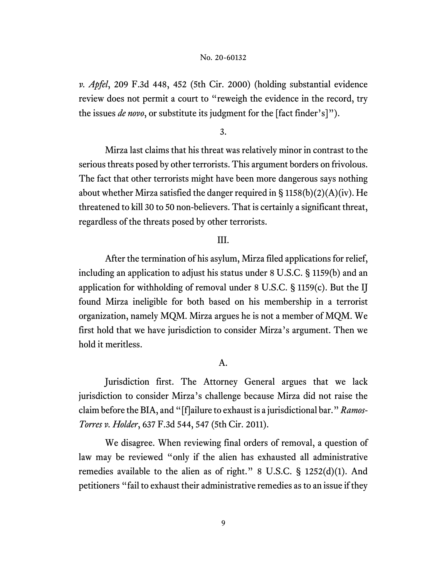*v. Apfel*, 209 F.3d 448, 452 (5th Cir. 2000) (holding substantial evidence review does not permit a court to "reweigh the evidence in the record, try the issues *de novo*, or substitute its judgment for the [fact finder's]").

3.

Mirza last claims that his threat was relatively minor in contrast to the serious threats posed by other terrorists. This argument borders on frivolous. The fact that other terrorists might have been more dangerous says nothing about whether Mirza satisfied the danger required in  $\S 1158(b)(2)(A)(iv)$ . He threatened to kill 30 to 50 non-believers. That is certainly a significant threat, regardless of the threats posed by other terrorists.

# III.

After the termination of his asylum, Mirza filed applications for relief, including an application to adjust his status under 8 U.S.C. § 1159(b) and an application for withholding of removal under 8 U.S.C. § 1159(c). But the IJ found Mirza ineligible for both based on his membership in a terrorist organization, namely MQM. Mirza argues he is not a member of MQM. We first hold that we have jurisdiction to consider Mirza's argument. Then we hold it meritless.

# A.

Jurisdiction first. The Attorney General argues that we lack jurisdiction to consider Mirza's challenge because Mirza did not raise the claim before the BIA, and "[f]ailure to exhaust is a jurisdictional bar." *Ramos-Torres v. Holder*, 637 F.3d 544, 547 (5th Cir. 2011).

We disagree. When reviewing final orders of removal, a question of law may be reviewed "only if the alien has exhausted all administrative remedies available to the alien as of right." 8 U.S.C. § 1252(d)(1). And petitioners "fail to exhaust their administrative remedies as to an issue if they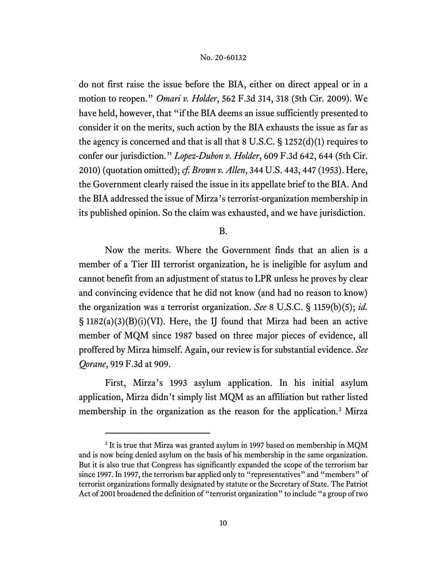do not first raise the issue before the BIA, either on direct appeal or in a motion to reopen." *Omari v. Holder*, 562 F.3d 314, 318 (5th Cir. 2009). We have held, however, that "if the BIA deems an issue sufficiently presented to consider it on the merits, such action by the BIA exhausts the issue as far as the agency is concerned and that is all that 8 U.S.C. § 1252(d)(1) requires to confer our jurisdiction." *Lopez-Dubon v. Holder*, 609 F.3d 642, 644 (5th Cir. 2010) (quotation omitted); *cf. Brown v. Allen*, 344 U.S. 443, 447 (1953). Here, the Government clearly raised the issue in its appellate brief to the BIA. And the BIA addressed the issue of Mirza's terrorist-organization membership in its published opinion. So the claim was exhausted, and we have jurisdiction.

B.

Now the merits. Where the Government finds that an alien is a member of a Tier III terrorist organization, he is ineligible for asylum and cannot benefit from an adjustment of status to LPR unless he proves by clear and convincing evidence that he did not know (and had no reason to know) the organization was a terrorist organization. *See* 8 U.S.C. § 1159(b)(5); *id.*  § 1182(a)(3)(B)(i)(VI). Here, the IJ found that Mirza had been an active member of MQM since 1987 based on three major pieces of evidence, all proffered by Mirza himself. Again, our review is for substantial evidence. *See Qorane*, 919 F.3d at 909.

First, Mirza's 1993 asylum application. In his initial asylum application, Mirza didn't simply list MQM as an affiliation but rather listed membership in the organization as the reason for the application.<sup>[3](#page-9-0)</sup> Mirza

<span id="page-9-0"></span><sup>&</sup>lt;sup>3</sup> It is true that Mirza was granted asylum in 1997 based on membership in MQM and is now being denied asylum on the basis of his membership in the same organization. But it is also true that Congress has significantly expanded the scope of the terrorism bar since 1997. In 1997, the terrorism bar applied only to "representatives" and "members" of terrorist organizations formally designated by statute or the Secretary of State. The Patriot Act of 2001 broadened the definition of "terrorist organization" to include "a group of two